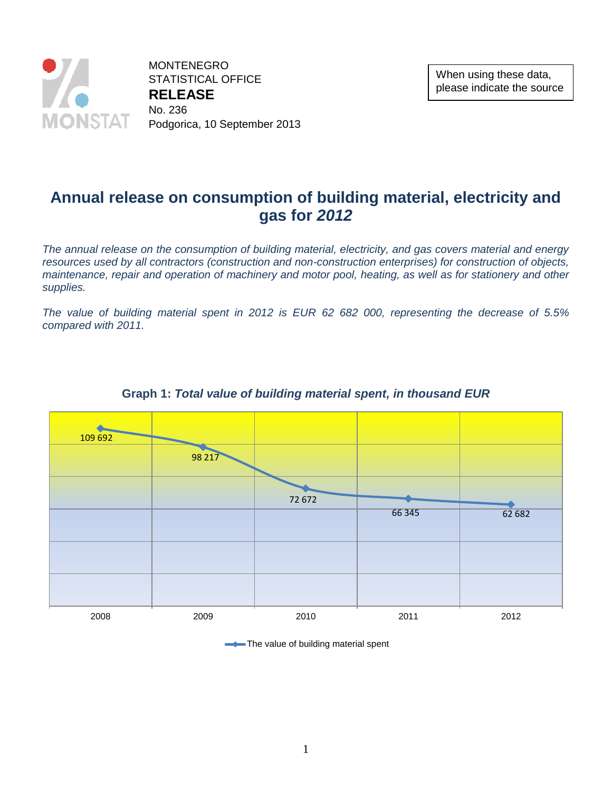

MONTENEGRO STATISTICAL OFFICE **RELEASE**  No. 236 Podgorica, 10 September 2013

# **Annual release on consumption of building material, electricity and gas for** *2012*

*The annual release on the consumption of building material, electricity, and gas covers material and energy resources used by all contractors (construction and non-construction enterprises) for construction of objects, maintenance, repair and operation of machinery and motor pool, heating, as well as for stationery and other supplies.*

*The value of building material spent in 2012 is EUR 62 682 000, representing the decrease of 5.5% compared with 2011.*



### **Graph 1:** *Total value of building material spent, in thousand EUR*

The value of building material spent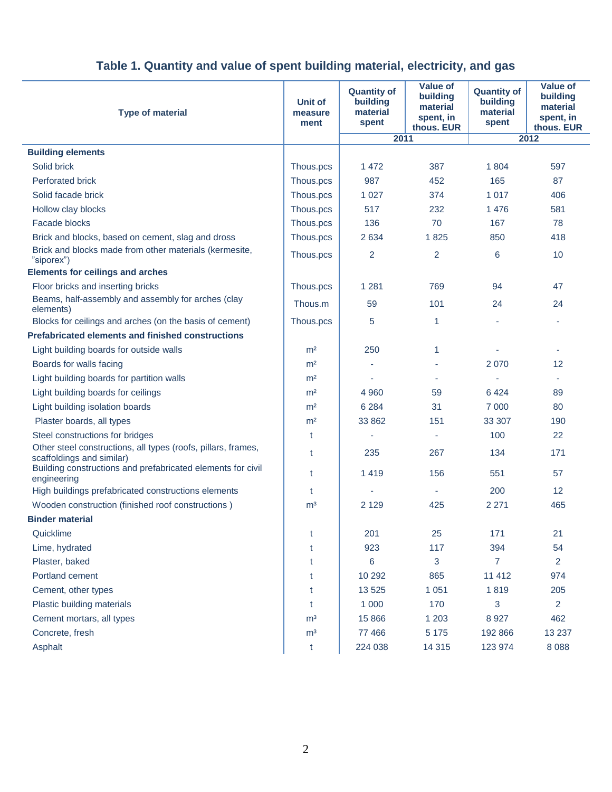| <b>Type of material</b>                                                                    | Unit of<br>measure<br>ment | <b>Quantity of</b><br>building<br>material<br>spent | <b>Value of</b><br>building<br>material<br>spent, in<br>thous. EUR | <b>Quantity of</b><br>building<br>material<br>spent | <b>Value of</b><br>building<br>material<br>spent, in<br>thous. EUR |
|--------------------------------------------------------------------------------------------|----------------------------|-----------------------------------------------------|--------------------------------------------------------------------|-----------------------------------------------------|--------------------------------------------------------------------|
|                                                                                            |                            | 2011                                                |                                                                    | 2012                                                |                                                                    |
| <b>Building elements</b>                                                                   |                            |                                                     |                                                                    |                                                     |                                                                    |
| Solid brick                                                                                | Thous.pcs                  | 1472                                                | 387                                                                | 1804                                                | 597                                                                |
| <b>Perforated brick</b>                                                                    | Thous.pcs                  | 987                                                 | 452                                                                | 165                                                 | 87                                                                 |
| Solid facade brick                                                                         | Thous.pcs                  | 1 0 2 7                                             | 374                                                                | 1 0 1 7                                             | 406                                                                |
| Hollow clay blocks                                                                         | Thous.pcs                  | 517                                                 | 232                                                                | 1 4 7 6                                             | 581                                                                |
| Facade blocks                                                                              | Thous.pcs                  | 136                                                 | 70                                                                 | 167                                                 | 78                                                                 |
| Brick and blocks, based on cement, slag and dross                                          | Thous.pcs                  | 2634                                                | 1825                                                               | 850                                                 | 418                                                                |
| Brick and blocks made from other materials (kermesite,<br>"siporex")                       | Thous.pcs                  | $\overline{2}$                                      | 2                                                                  | 6                                                   | 10                                                                 |
| <b>Elements for ceilings and arches</b>                                                    |                            |                                                     |                                                                    |                                                     |                                                                    |
| Floor bricks and inserting bricks                                                          | Thous.pcs                  | 1 2 8 1                                             | 769                                                                | 94                                                  | 47                                                                 |
| Beams, half-assembly and assembly for arches (clay<br>elements)                            | Thous.m                    | 59                                                  | 101                                                                | 24                                                  | 24                                                                 |
| Blocks for ceilings and arches (on the basis of cement)                                    | Thous.pcs                  | 5                                                   | 1                                                                  |                                                     |                                                                    |
| <b>Prefabricated elements and finished constructions</b>                                   |                            |                                                     |                                                                    |                                                     |                                                                    |
| Light building boards for outside walls                                                    | m <sup>2</sup>             | 250                                                 | 1                                                                  |                                                     |                                                                    |
| Boards for walls facing                                                                    | m <sup>2</sup>             |                                                     |                                                                    | 2070                                                | 12                                                                 |
| Light building boards for partition walls                                                  | m <sup>2</sup>             | ٠                                                   | ٠                                                                  | $\overline{\phantom{a}}$                            | ٠                                                                  |
| Light building boards for ceilings                                                         | m <sup>2</sup>             | 4 9 6 0                                             | 59                                                                 | 6424                                                | 89                                                                 |
| Light building isolation boards                                                            | m <sup>2</sup>             | 6 2 8 4                                             | 31                                                                 | 7 0 0 0                                             | 80                                                                 |
| Plaster boards, all types                                                                  | m <sup>2</sup>             | 33 862                                              | 151                                                                | 33 307                                              | 190                                                                |
| Steel constructions for bridges                                                            | t                          |                                                     | ٠                                                                  | 100                                                 | 22                                                                 |
| Other steel constructions, all types (roofs, pillars, frames,<br>scaffoldings and similar) | t                          | 235                                                 | 267                                                                | 134                                                 | 171                                                                |
| Building constructions and prefabricated elements for civil<br>engineering                 | t                          | 1419                                                | 156                                                                | 551                                                 | 57                                                                 |
| High buildings prefabricated constructions elements                                        | t                          |                                                     | $\overline{\phantom{a}}$                                           | 200                                                 | 12                                                                 |
| Wooden construction (finished roof constructions)                                          | m <sup>3</sup>             | 2 1 2 9                                             | 425                                                                | 2 2 7 1                                             | 465                                                                |
| <b>Binder material</b>                                                                     |                            |                                                     |                                                                    |                                                     |                                                                    |
| Quicklime                                                                                  | t                          | 201                                                 | 25                                                                 | 171                                                 | 21                                                                 |
| Lime, hydrated                                                                             | t                          | 923                                                 | 117                                                                | 394                                                 | 54                                                                 |
| Plaster, baked                                                                             | t                          | 6                                                   | 3                                                                  | $\overline{7}$                                      | $\overline{2}$                                                     |
| Portland cement                                                                            | t                          | 10 29 2                                             | 865                                                                | 11 412                                              | 974                                                                |
| Cement, other types                                                                        | t                          | 13 5 25                                             | 1 0 5 1                                                            | 1819                                                | 205                                                                |
| Plastic building materials                                                                 | t                          | 1 0 0 0                                             | 170                                                                | 3                                                   | $\overline{2}$                                                     |
| Cement mortars, all types                                                                  | m <sup>3</sup>             | 15 8 66                                             | 1 2 0 3                                                            | 8 9 27                                              | 462                                                                |
| Concrete, fresh                                                                            | m <sup>3</sup>             | 77 466                                              | 5 1 7 5                                                            | 192 866                                             | 13 2 37                                                            |
| Asphalt                                                                                    | t                          | 224 038                                             | 14 3 15                                                            | 123 974                                             | 8 0 8 8                                                            |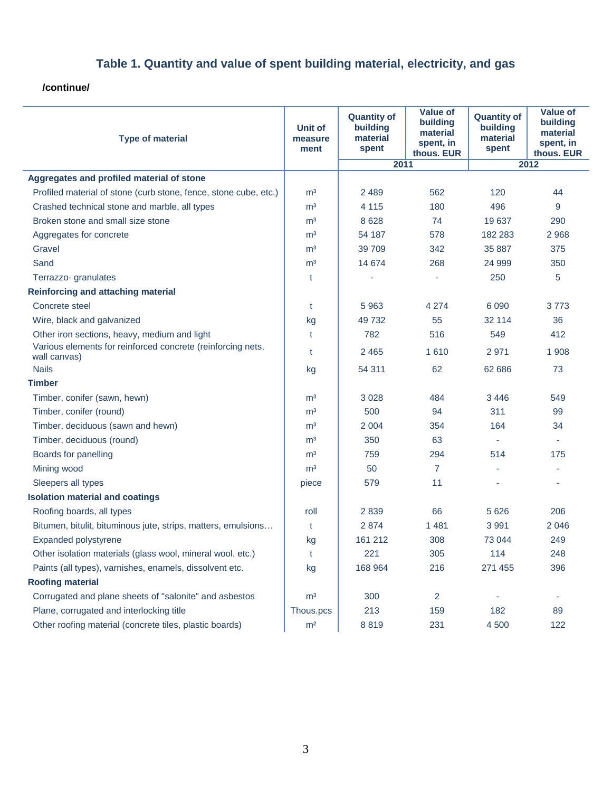**/continue/**

| <b>Type of material</b>                                                     | <b>Unit of</b><br>measure<br>ment | <b>Quantity of</b><br>building<br>material<br>spent | <b>Value of</b><br>building<br>material<br>spent, in<br>thous. EUR | <b>Quantity of</b><br>building<br>material<br>spent | <b>Value of</b><br>building<br>material<br>spent, in<br>thous. EUR |
|-----------------------------------------------------------------------------|-----------------------------------|-----------------------------------------------------|--------------------------------------------------------------------|-----------------------------------------------------|--------------------------------------------------------------------|
|                                                                             |                                   | 2011                                                |                                                                    | 2012                                                |                                                                    |
| Aggregates and profiled material of stone                                   |                                   |                                                     |                                                                    |                                                     |                                                                    |
| Profiled material of stone (curb stone, fence, stone cube, etc.)            | m <sup>3</sup>                    | 2 4 8 9                                             | 562                                                                | 120                                                 | 44                                                                 |
| Crashed technical stone and marble, all types                               | m <sup>3</sup>                    | 4 1 1 5                                             | 180                                                                | 496                                                 | 9                                                                  |
| Broken stone and small size stone                                           | m <sup>3</sup>                    | 8628                                                | 74                                                                 | 19 637                                              | 290                                                                |
| Aggregates for concrete                                                     | m <sup>3</sup>                    | 54 187                                              | 578                                                                | 182 283                                             | 2 9 6 8                                                            |
| Gravel                                                                      | m <sup>3</sup>                    | 39 709                                              | 342                                                                | 35 887                                              | 375                                                                |
| Sand                                                                        | m <sup>3</sup>                    | 14 674                                              | 268                                                                | 24 999                                              | 350                                                                |
| Terrazzo- granulates                                                        | t                                 |                                                     |                                                                    | 250                                                 | 5                                                                  |
| <b>Reinforcing and attaching material</b>                                   |                                   |                                                     |                                                                    |                                                     |                                                                    |
| Concrete steel                                                              | t                                 | 5963                                                | 4 2 7 4                                                            | 6 0 9 0                                             | 3773                                                               |
| Wire, black and galvanized                                                  | kg                                | 49732                                               | 55                                                                 | 32 114                                              | 36                                                                 |
| Other iron sections, heavy, medium and light                                | t                                 | 782                                                 | 516                                                                | 549                                                 | 412                                                                |
| Various elements for reinforced concrete (reinforcing nets,<br>wall canvas) | t                                 | 2 4 6 5                                             | 1610                                                               | 2971                                                | 1 9 0 8                                                            |
| <b>Nails</b>                                                                | kg                                | 54 311                                              | 62                                                                 | 62 686                                              | 73                                                                 |
| <b>Timber</b>                                                               |                                   |                                                     |                                                                    |                                                     |                                                                    |
| Timber, conifer (sawn, hewn)                                                | m <sup>3</sup>                    | 3 0 28                                              | 484                                                                | 3446                                                | 549                                                                |
| Timber, conifer (round)                                                     | m <sup>3</sup>                    | 500                                                 | 94                                                                 | 311                                                 | 99                                                                 |
| Timber, deciduous (sawn and hewn)                                           | m <sup>3</sup>                    | 2 0 0 4                                             | 354                                                                | 164                                                 | 34                                                                 |
| Timber, deciduous (round)                                                   | m <sup>3</sup>                    | 350                                                 | 63                                                                 |                                                     |                                                                    |
| Boards for panelling                                                        | m <sup>3</sup>                    | 759                                                 | 294                                                                | 514                                                 | 175                                                                |
| Mining wood                                                                 | m <sup>3</sup>                    | 50                                                  | $\overline{7}$                                                     |                                                     |                                                                    |
| Sleepers all types                                                          | piece                             | 579                                                 | 11                                                                 |                                                     |                                                                    |
| <b>Isolation material and coatings</b>                                      |                                   |                                                     |                                                                    |                                                     |                                                                    |
| Roofing boards, all types                                                   | roll                              | 2839                                                | 66                                                                 | 5 6 2 6                                             | 206                                                                |
| Bitumen, bitulit, bituminous jute, strips, matters, emulsions               | t                                 | 2874                                                | 1481                                                               | 3 9 9 1                                             | 2 0 4 6                                                            |
| Expanded polystyrene                                                        | kg                                | 161 212                                             | 308                                                                | 73 044                                              | 249                                                                |
| Other isolation materials (glass wool, mineral wool. etc.)                  | t                                 | 221                                                 | 305                                                                | 114                                                 | 248                                                                |
| Paints (all types), varnishes, enamels, dissolvent etc.                     | kg                                | 168 964                                             | 216                                                                | 271 455                                             | 396                                                                |
| <b>Roofing material</b>                                                     |                                   |                                                     |                                                                    |                                                     |                                                                    |
| Corrugated and plane sheets of "salonite" and asbestos                      | m <sup>3</sup>                    | 300                                                 | 2                                                                  |                                                     |                                                                    |
| Plane, corrugated and interlocking title                                    | Thous.pcs                         | 213                                                 | 159                                                                | 182                                                 | 89                                                                 |
| Other roofing material (concrete tiles, plastic boards)                     | m <sup>2</sup>                    | 8819                                                | 231                                                                | 4 500                                               | 122                                                                |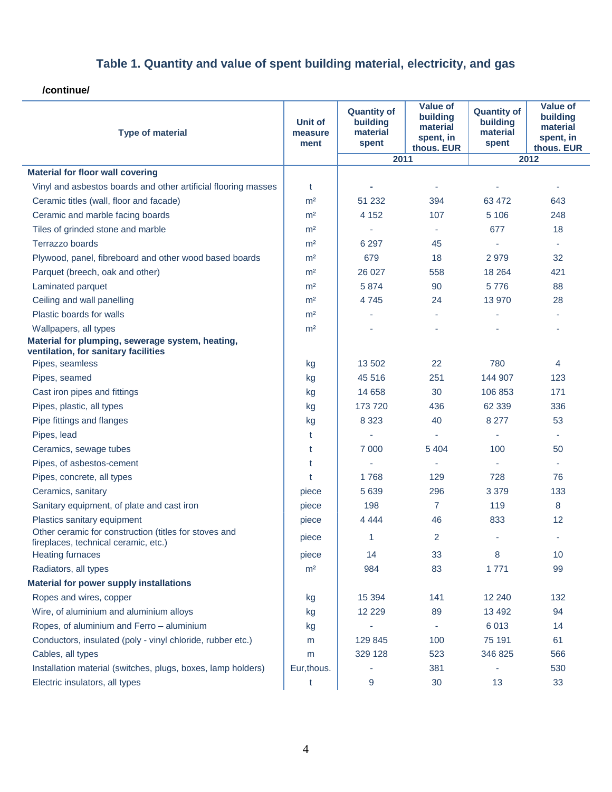**/continue/**

| <b>Type of material</b>                                                                       | Unit of<br>measure<br>ment | <b>Quantity of</b><br>building<br>material<br>spent | <b>Value of</b><br>building<br>material<br>spent, in<br>thous. EUR | <b>Quantity of</b><br>building<br>material<br>spent | <b>Value of</b><br>building<br>material<br>spent, in<br>thous. EUR |
|-----------------------------------------------------------------------------------------------|----------------------------|-----------------------------------------------------|--------------------------------------------------------------------|-----------------------------------------------------|--------------------------------------------------------------------|
|                                                                                               |                            | 2011                                                |                                                                    | 2012                                                |                                                                    |
| <b>Material for floor wall covering</b>                                                       |                            |                                                     |                                                                    |                                                     |                                                                    |
| Vinyl and asbestos boards and other artificial flooring masses                                | t                          |                                                     | ٠                                                                  |                                                     | ٠                                                                  |
| Ceramic titles (wall, floor and facade)                                                       | m <sup>2</sup>             | 51 232                                              | 394                                                                | 63 472                                              | 643                                                                |
| Ceramic and marble facing boards                                                              | m <sup>2</sup>             | 4 1 5 2                                             | 107                                                                | 5 1 0 6                                             | 248                                                                |
| Tiles of grinded stone and marble                                                             | m <sup>2</sup>             | à,                                                  |                                                                    | 677                                                 | 18                                                                 |
| Terrazzo boards                                                                               | m <sup>2</sup>             | 6 2 9 7                                             | 45                                                                 | $\overline{\phantom{a}}$                            |                                                                    |
| Plywood, panel, fibreboard and other wood based boards                                        | m <sup>2</sup>             | 679                                                 | 18                                                                 | 2979                                                | 32                                                                 |
| Parquet (breech, oak and other)                                                               | m <sup>2</sup>             | 26 0 27                                             | 558                                                                | 18 2 64                                             | 421                                                                |
| Laminated parquet                                                                             | m <sup>2</sup>             | 5874                                                | 90                                                                 | 5776                                                | 88                                                                 |
| Ceiling and wall panelling                                                                    | m <sup>2</sup>             | 4 7 4 5                                             | 24                                                                 | 13 970                                              | 28                                                                 |
| Plastic boards for walls                                                                      | m <sup>2</sup>             |                                                     | $\overline{\phantom{a}}$                                           |                                                     |                                                                    |
| Wallpapers, all types                                                                         | m <sup>2</sup>             |                                                     |                                                                    |                                                     |                                                                    |
| Material for plumping, sewerage system, heating,<br>ventilation, for sanitary facilities      |                            |                                                     |                                                                    |                                                     |                                                                    |
| Pipes, seamless                                                                               | kg                         | 13 502                                              | 22                                                                 | 780                                                 | 4                                                                  |
| Pipes, seamed                                                                                 | kg                         | 45 516                                              | 251                                                                | 144 907                                             | 123                                                                |
| Cast iron pipes and fittings                                                                  | kg                         | 14 6 58                                             | 30                                                                 | 106 853                                             | 171                                                                |
| Pipes, plastic, all types                                                                     | kg                         | 173 720                                             | 436                                                                | 62 339                                              | 336                                                                |
| Pipe fittings and flanges                                                                     | kg                         | 8 3 2 3                                             | 40                                                                 | 8 2 7 7                                             | 53                                                                 |
| Pipes, lead                                                                                   | t                          | à,                                                  | $\overline{\phantom{a}}$                                           | $\sim$                                              | ٠                                                                  |
| Ceramics, sewage tubes                                                                        | t                          | 7 0 0 0                                             | 5 4 0 4                                                            | 100                                                 | 50                                                                 |
| Pipes, of asbestos-cement                                                                     | t                          |                                                     |                                                                    |                                                     |                                                                    |
| Pipes, concrete, all types                                                                    | t                          | 1768                                                | 129                                                                | 728                                                 | 76                                                                 |
| Ceramics, sanitary                                                                            | piece                      | 5 6 3 9                                             | 296                                                                | 3 3 7 9                                             | 133                                                                |
| Sanitary equipment, of plate and cast iron                                                    | piece                      | 198                                                 | $\overline{7}$                                                     | 119                                                 | 8                                                                  |
| Plastics sanitary equipment                                                                   | piece                      | 4 4 4 4                                             | 46                                                                 | 833                                                 | 12                                                                 |
| Other ceramic for construction (titles for stoves and<br>fireplaces, technical ceramic, etc.) | piece                      | 1                                                   | $\overline{2}$                                                     | $\sim$                                              |                                                                    |
| <b>Heating furnaces</b>                                                                       | piece                      | 14                                                  | 33                                                                 | 8                                                   | 10                                                                 |
| Radiators, all types                                                                          | m <sup>2</sup>             | 984                                                 | 83                                                                 | 1771                                                | 99                                                                 |
| <b>Material for power supply installations</b>                                                |                            |                                                     |                                                                    |                                                     |                                                                    |
| Ropes and wires, copper                                                                       | kg                         | 15 3 94                                             | 141                                                                | 12 240                                              | 132                                                                |
| Wire, of aluminium and aluminium alloys                                                       | kg                         | 12 2 2 9                                            | 89                                                                 | 13 4 9 2                                            | 94                                                                 |
| Ropes, of aluminium and Ferro - aluminium                                                     | kg                         |                                                     | $\overline{\phantom{a}}$                                           | 6013                                                | 14                                                                 |
| Conductors, insulated (poly - vinyl chloride, rubber etc.)                                    | m                          | 129 845                                             | 100                                                                | 75 191                                              | 61                                                                 |
| Cables, all types                                                                             | m                          | 329 128                                             | 523                                                                | 346 825                                             | 566                                                                |
| Installation material (switches, plugs, boxes, lamp holders)                                  | Eur, thous.                |                                                     | 381                                                                | ÷,                                                  | 530                                                                |
| Electric insulators, all types                                                                | t                          | 9                                                   | 30                                                                 | 13                                                  | 33                                                                 |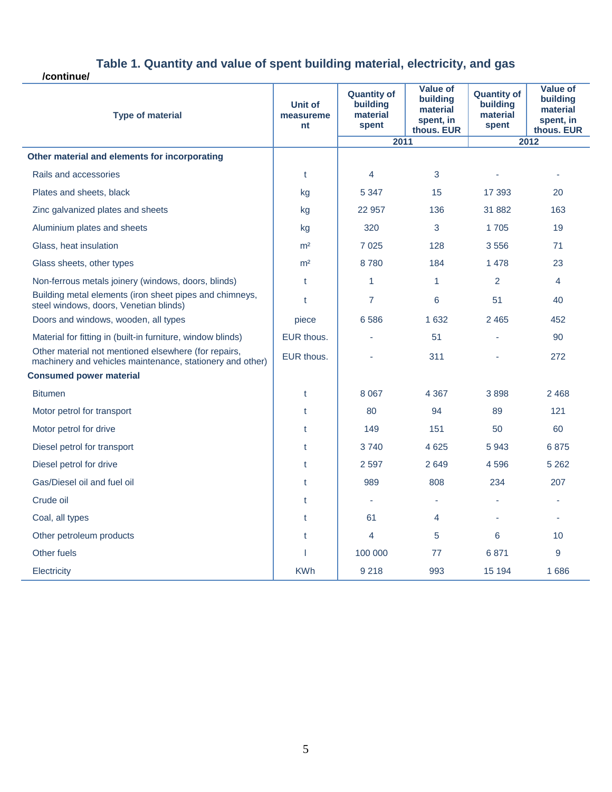**/continue/**

| <b>Type of material</b>                                                                                           | Unit of<br>measureme<br>nt | <b>Quantity of</b><br>building<br>material<br>spent | <b>Value of</b><br>building<br>material<br>spent, in<br>thous. EUR | <b>Quantity of</b><br><b>building</b><br>material<br>spent | <b>Value of</b><br>building<br>material<br>spent, in<br>thous. EUR |
|-------------------------------------------------------------------------------------------------------------------|----------------------------|-----------------------------------------------------|--------------------------------------------------------------------|------------------------------------------------------------|--------------------------------------------------------------------|
|                                                                                                                   |                            | 2011                                                |                                                                    | 2012                                                       |                                                                    |
| Other material and elements for incorporating                                                                     |                            |                                                     |                                                                    |                                                            |                                                                    |
| Rails and accessories                                                                                             | $\mathfrak{t}$             | 4                                                   | 3                                                                  |                                                            |                                                                    |
| Plates and sheets, black                                                                                          | kg                         | 5 3 4 7                                             | 15                                                                 | 17 393                                                     | 20                                                                 |
| Zinc galvanized plates and sheets                                                                                 | kg                         | 22 957                                              | 136                                                                | 31 882                                                     | 163                                                                |
| Aluminium plates and sheets                                                                                       | kg                         | 320                                                 | 3                                                                  | 1705                                                       | 19                                                                 |
| Glass, heat insulation                                                                                            | m <sup>2</sup>             | 7 0 2 5                                             | 128                                                                | 3556                                                       | 71                                                                 |
| Glass sheets, other types                                                                                         | m <sup>2</sup>             | 8780                                                | 184                                                                | 1 4 7 8                                                    | 23                                                                 |
| Non-ferrous metals joinery (windows, doors, blinds)                                                               | t                          | 1                                                   | 1                                                                  | 2                                                          | 4                                                                  |
| Building metal elements (iron sheet pipes and chimneys,<br>steel windows, doors, Venetian blinds)                 | t                          | $\overline{7}$                                      | 6                                                                  | 51                                                         | 40                                                                 |
| Doors and windows, wooden, all types                                                                              | piece                      | 6586                                                | 1 6 3 2                                                            | 2 4 6 5                                                    | 452                                                                |
| Material for fitting in (built-in furniture, window blinds)                                                       | EUR thous.                 |                                                     | 51                                                                 | ä,                                                         | 90                                                                 |
| Other material not mentioned elsewhere (for repairs,<br>machinery and vehicles maintenance, stationery and other) | EUR thous.                 |                                                     | 311                                                                |                                                            | 272                                                                |
| <b>Consumed power material</b>                                                                                    |                            |                                                     |                                                                    |                                                            |                                                                    |
| <b>Bitumen</b>                                                                                                    | t                          | 8 0 6 7                                             | 4 3 6 7                                                            | 3898                                                       | 2 4 6 8                                                            |
| Motor petrol for transport                                                                                        | t                          | 80                                                  | 94                                                                 | 89                                                         | 121                                                                |
| Motor petrol for drive                                                                                            | t                          | 149                                                 | 151                                                                | 50                                                         | 60                                                                 |
| Diesel petrol for transport                                                                                       | $\mathfrak{t}$             | 3740                                                | 4 6 2 5                                                            | 5943                                                       | 6875                                                               |
| Diesel petrol for drive                                                                                           | t                          | 2 5 9 7                                             | 2649                                                               | 4596                                                       | 5 2 6 2                                                            |
| Gas/Diesel oil and fuel oil                                                                                       | t                          | 989                                                 | 808                                                                | 234                                                        | 207                                                                |
| Crude oil                                                                                                         | t                          | ä,                                                  |                                                                    |                                                            |                                                                    |
| Coal, all types                                                                                                   | t                          | 61                                                  | 4                                                                  |                                                            |                                                                    |
| Other petroleum products                                                                                          | t                          | 4                                                   | 5                                                                  | 6                                                          | 10                                                                 |
| Other fuels                                                                                                       | ı                          | 100 000                                             | 77                                                                 | 6871                                                       | 9                                                                  |
| Electricity                                                                                                       | <b>KWh</b>                 | 9 2 1 8                                             | 993                                                                | 15 194                                                     | 1686                                                               |